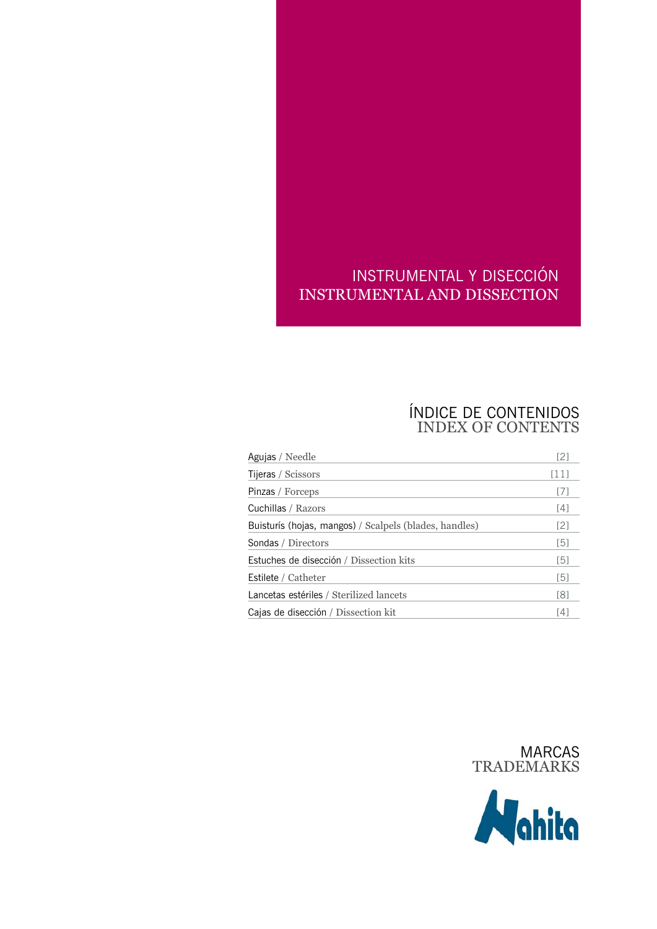# INSTRUMENTAL Y DISECCIÓN INSTRUMENTAL AND DISSECTION

# ÍNDICE DE CONTENIDOS INDEX OF CONTENTS

| Agujas / Needle                                        | [2]               |
|--------------------------------------------------------|-------------------|
| Tijeras / Scissors                                     | [11]              |
| Pinzas / Forceps                                       | [7]               |
| Cuchillas / Razors                                     | $[4]$             |
| Buisturís (hojas, mangos) / Scalpels (blades, handles) | [2]               |
| Sondas / Directors                                     | [5]               |
| Estuches de disección / Dissection kits                | [5]               |
| Estilete / Catheter                                    | [5]               |
| Lancetas estériles / Sterilized lancets                | [8]               |
| Cajas de disección / Dissection kit                    | $\lceil 4 \rceil$ |



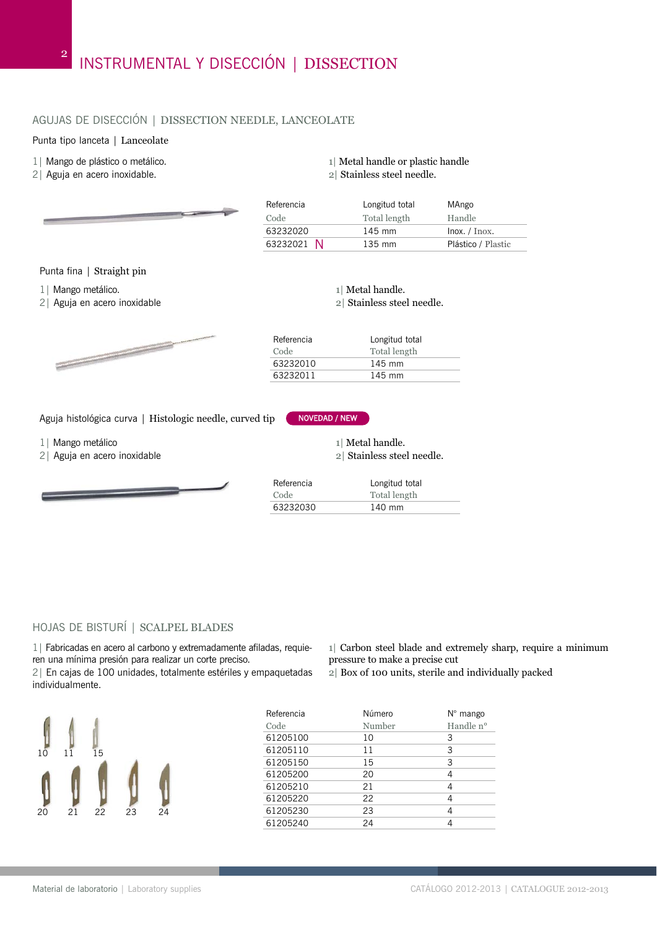# AGUJAS DE DISECCIÓN | DISSECTION NEEDLE, LANCEOLATE

#### Punta tipo lanceta | Lanceolate

- 1| Mango de plástico o metálico.
- 2| Aguja en acero inoxidable.

Referencia Longitud total MAngo

1| Metal handle or plastic handle 2| Stainless steel needle.

| Code       | Total length     | Handle                  |
|------------|------------------|-------------------------|
| 63232020   | $145 \text{ mm}$ | $ln\alpha$ . / $Inox$ . |
| 63232021 N | $135 \text{ mm}$ | Plástico / Plastic      |

Punta fina | Straight pin

1| Mango metálico.

 $\sim$ 

2| Aguja en acero inoxidable



Aguja histológica curva | Histologic needle, curved tip NOVEDAD / NEW

1| Mango metálico

2| Aguja en acero inoxidable

$$
\underbrace{\hspace{2.5cm}}
$$

| 1 Metal handle.                       |  |
|---------------------------------------|--|
| المستحدث المستحدث والمتكملات والمراجع |  |

2| Stainless steel needle.

| Referencia<br>Code | Longitud total<br>Total length |
|--------------------|--------------------------------|
| 63232010           | $145 \text{ mm}$               |
| 63232011           | $145 \text{ mm}$               |

1| Metal handle.

2| Stainless steel needle.

| Referencia | Longitud total |
|------------|----------------|
| Code       | Total length   |
| 63232030   | 140 mm         |

#### HOJAS DE BISTURÍ | SCALPEL BLADES

1| Fabricadas en acero al carbono y extremadamente afiladas, requieren una mínima presión para realizar un corte preciso.

2| En cajas de 100 unidades, totalmente estériles y empaquetadas individualmente.

10 11 15 20 21 22 23 24

- 1| Carbon steel blade and extremely sharp, require a minimum pressure to make a precise cut
- 2| Box of 100 units, sterile and individually packed

| Referencia | Número | $N^{\circ}$ mango |
|------------|--------|-------------------|
| Code       | Number | Handle n°         |
| 61205100   | 10     | 3                 |
| 61205110   | 11     | 3                 |
| 61205150   | 15     | 3                 |
| 61205200   | 20     | 4                 |
| 61205210   | 21     | 4                 |
| 61205220   | 22     | 4                 |
| 61205230   | 23     | 4                 |
| 61205240   | 24     |                   |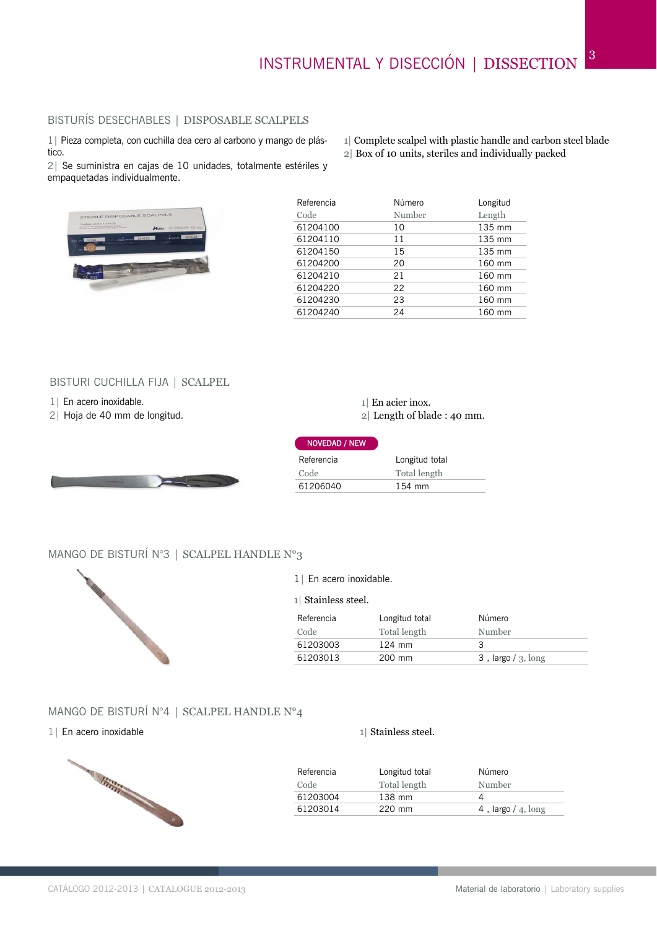1| Complete scalpel with plastic handle and carbon steel blade

2| Box of 10 units, steriles and individually packed

# BISTURÍS DESECHABLES | DISPOSABLE SCALPELS

1| Pieza completa, con cuchilla dea cero al carbono y mango de plástico.

2| Se suministra en cajas de 10 unidades, totalmente estériles y empaquetadas individualmente.



| Referencia | Número | Longitud |
|------------|--------|----------|
| Code       | Number | Length   |
| 61204100   | 10     | 135 mm   |
| 61204110   | 11     | 135 mm   |
| 61204150   | 15     | 135 mm   |
| 61204200   | 20     | 160 mm   |
| 61204210   | 21     | 160 mm   |
| 61204220   | 22     | 160 mm   |
| 61204230   | 23     | 160 mm   |
| 61204240   | 24     | 160 mm   |

#### BISTURI CUCHILLA FIJA | SCALPEL

- 1| En acero inoxidable.
- 2| Hoja de 40 mm de longitud.



1| En acier inox.

2| Length of blade : 40 mm.

| <b>NOVEDAD / NEW</b> |                |
|----------------------|----------------|
| Referencia           | Longitud total |
| Code                 | Total length   |
| 61206040             | 154 mm         |

#### MANGO DE BISTURÍ N°3 | SCALPEL HANDLE N°3



| 1   En acero inoxidable. |
|--------------------------|
|--------------------------|

1| Stainless steel.

| Referencia | Longitud total   | Número                   |
|------------|------------------|--------------------------|
| Code       | Total length     | Number                   |
| 61203003   | $124 \text{ mm}$ | ⊋                        |
| 61203013   | $200 \text{ mm}$ | $3$ , largo / $3$ , long |

#### MANGO DE BISTURÍ N°4 | SCALPEL HANDLE N°4

#### 1| En acero inoxidable



| Referencia | Longitud total | Número               |
|------------|----------------|----------------------|
| Code       | Total length   | Number               |
| 61203004   | 138 mm         |                      |
| 61203014   | $220$ mm       | 4, largo $/$ 4, long |

1| Stainless steel.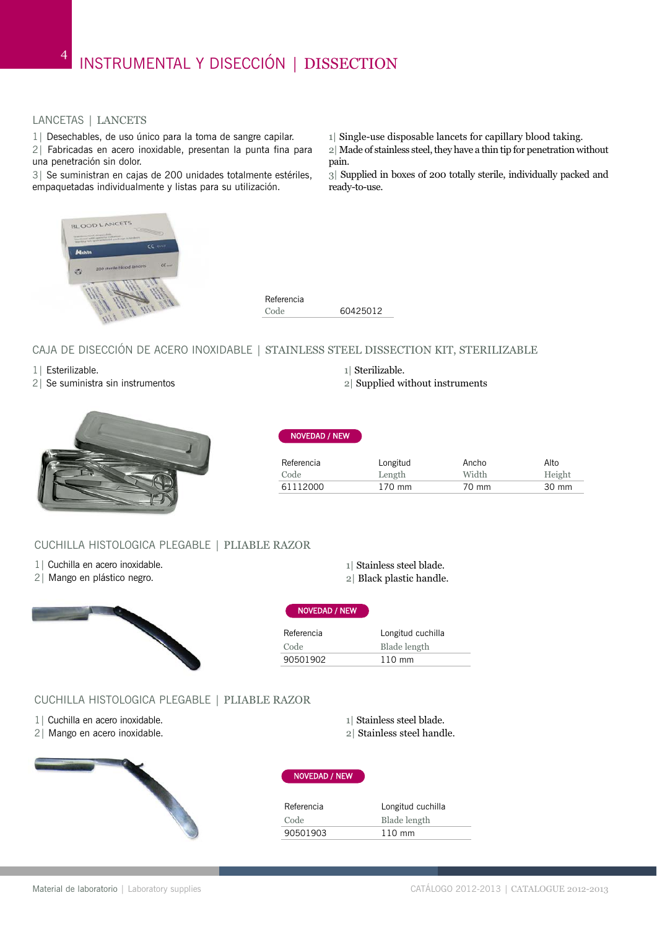#### LANCETAS | LANCETS

1| Desechables, de uso único para la toma de sangre capilar.

2| Fabricadas en acero inoxidable, presentan la punta fina para una penetración sin dolor.

3| Se suministran en cajas de 200 unidades totalmente estériles, empaquetadas individualmente y listas para su utilización.

1| Single-use disposable lancets for capillary blood taking.

2| Made of stainless steel, they have a thin tip for penetration without pain.

3| Supplied in boxes of 200 totally sterile, individually packed and ready-to-use.





NOVEDAD / NEW

#### CAJA DE DISECCIÓN DE ACERO INOXIDABLE | STAINLESS STEEL DISSECTION KIT, STERILIZABLE

- 1| Esterilizable.
- 2| Se suministra sin instrumentos
- 1| Sterilizable.
- 2| Supplied without instruments



| Referencia | Longitud | Ancho | Alto   |
|------------|----------|-------|--------|
| Code       | Length   | Width | Height |
| 61112000   | 170 mm   | 70 mm | 30 mm  |

#### CUCHILLA HISTOLOGICA PLEGABLE | PLIABLE RAZOR

- 1| Cuchilla en acero inoxidable.
- 2| Mango en plástico negro.



#### 1| Stainless steel blade.

2| Black plastic handle.

1| Stainless steel blade. 2| Stainless steel handle.

Referencia Longitud cuchilla Code Blade length 90501902 110 mm

#### CUCHILLA HISTOLOGICA PLEGABLE | PLIABLE RAZOR

- 1| Cuchilla en acero inoxidable.
- 2| Mango en acero inoxidable.



#### NOVEDAD / NEW

NOVEDAD / NEW

| Referencia | Longitud cuchilla |
|------------|-------------------|
| Code       | Blade length      |
| 90501903   | $110 \text{ mm}$  |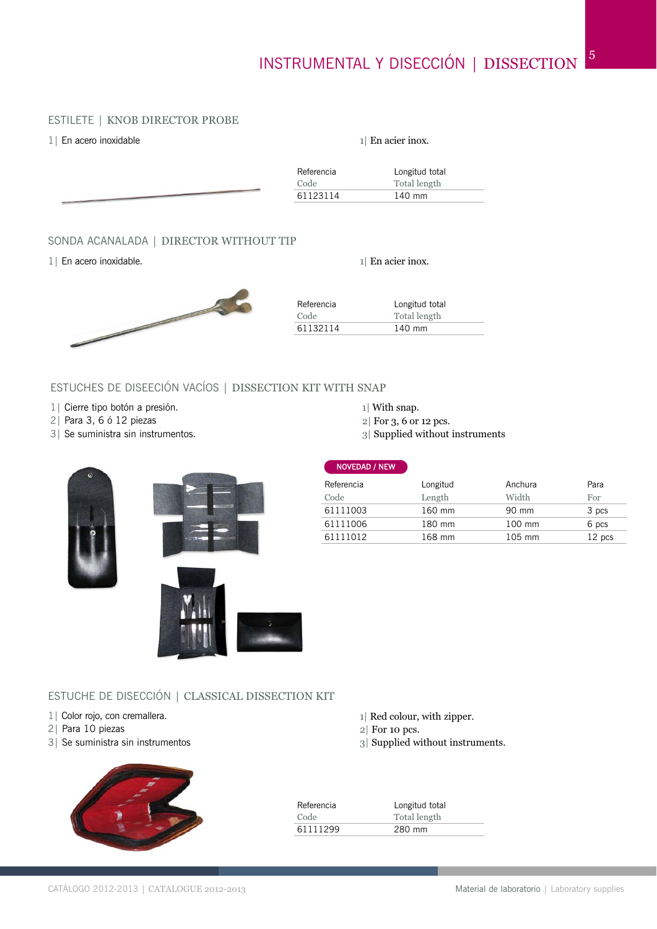#### ESTILETE | KNOB DIRECTOR PROBE

| 1   En acero inoxidable |  |  |
|-------------------------|--|--|
|                         |  |  |
|                         |  |  |

| $1$ En acier inox. |  |
|--------------------|--|
|--------------------|--|

| Referencia | Longitud total |
|------------|----------------|
|            | Total length   |
| 61123114   | 140 mm         |
|            |                |

#### SONDA ACANALADA | DIRECTOR WITHOUT TIP

1| En acero inoxidable.

1| En acier inox.



| Referencia | Longitud total |
|------------|----------------|
| Code       | Total length   |
| 61132114   | 140 mm         |

# ESTUCHES DE DISEECIÓN VACÍOS | DISSECTION KIT WITH SNAP

- 1| Cierre tipo botón a presión.
- 2| Para 3, 6 ó 12 piezas
- 3| Se suministra sin instrumentos.

1| With snap.

NOVEDAD / NEW

- 2| For 3, 6 or 12 pcs.
- 3| Supplied without instruments



| Referencia | Longitud | Anchura | Para   |
|------------|----------|---------|--------|
| Code       | Length   | Width   | For    |
| 61111003   | 160 mm   | 90 mm   | 3 pcs  |
| 61111006   | 180 mm   | 100 mm  | 6 pcs  |
| 61111012   | 168 mm   | 105 mm  | 12 pcs |
|            |          |         |        |

# ESTUCHE DE DISECCIÓN | CLASSICAL DISSECTION KIT

- 1 | Color rojo, con cremallera.
- 2| Para 10 piezas
- 3| Se suministra sin instrumentos



| Longitud total |
|----------------|
| Total length   |
| 280 mm         |
|                |

2| For 10 pcs.

1| Red colour, with zipper.

3| Supplied without instruments.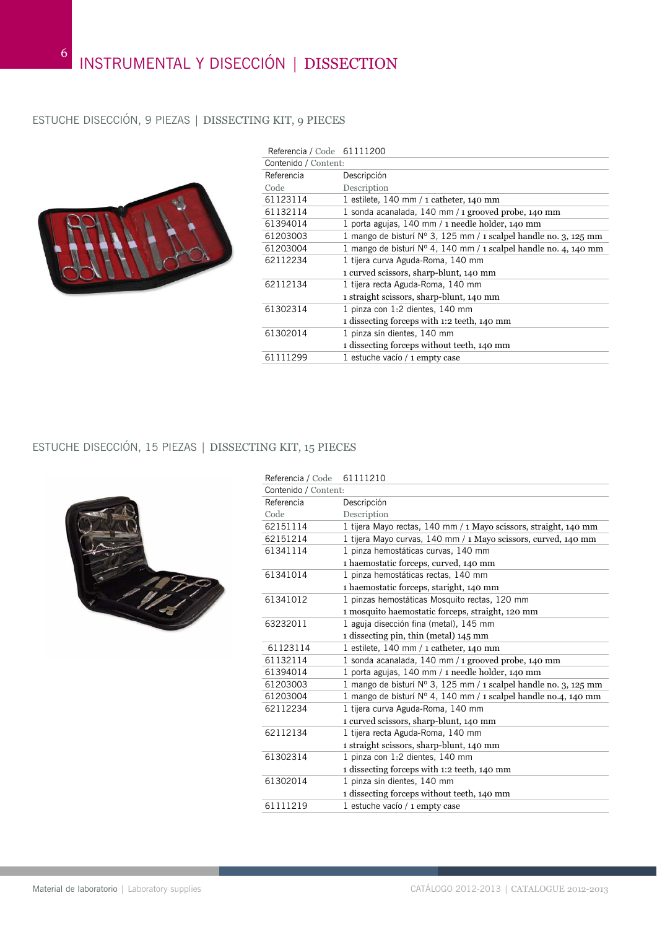# ESTUCHE DISECCIÓN, 9 PIEZAS | DISSECTING KIT, 9 PIECES



| Referencia / Code 61111200 |                                                                           |
|----------------------------|---------------------------------------------------------------------------|
| Contenido / Content:       |                                                                           |
| Referencia                 | Descripción                                                               |
| Code                       | Description                                                               |
| 61123114                   | 1 estilete, 140 mm $/$ 1 catheter, 140 mm                                 |
| 61132114                   | 1 sonda acanalada, 140 mm / 1 grooved probe, 140 mm                       |
| 61394014                   | 1 porta agujas, 140 mm / 1 needle holder, 140 mm                          |
| 61203003                   | 1 mango de bisturí $N^{\circ}$ 3, 125 mm / 1 scalpel handle no. 3, 125 mm |
| 61203004                   | 1 mango de bisturí $N^{\circ}$ 4, 140 mm / 1 scalpel handle no. 4, 140 mm |
| 62112234                   | 1 tijera curva Aguda-Roma, 140 mm                                         |
|                            | 1 curved scissors, sharp-blunt, 140 mm                                    |
| 62112134                   | 1 tijera recta Aguda-Roma, 140 mm                                         |
|                            | 1 straight scissors, sharp-blunt, 140 mm                                  |
| 61302314                   | 1 pinza con 1:2 dientes, 140 mm                                           |
|                            | 1 dissecting forceps with 1:2 teeth, 140 mm                               |
| 61302014                   | 1 pinza sin dientes, 140 mm                                               |
|                            | 1 dissecting forceps without teeth, 140 mm                                |
| 61111299                   | 1 estuche vacío / 1 empty case                                            |

# ESTUCHE DISECCIÓN, 15 PIEZAS | DISSECTING KIT, 15 PIECES



| Referencia / Code    | 61111210                                                                 |
|----------------------|--------------------------------------------------------------------------|
| Contenido / Content: |                                                                          |
| Referencia           | Descripción                                                              |
| Code                 | Description                                                              |
| 62151114             | 1 tijera Mayo rectas, 140 mm / 1 Mayo scissors, straight, 140 mm         |
| 62151214             | 1 tijera Mayo curvas, 140 mm / 1 Mayo scissors, curved, 140 mm           |
| 61341114             | 1 pinza hemostáticas curvas, 140 mm                                      |
|                      | 1 haemostatic forceps, curved, 140 mm                                    |
| 61341014             | 1 pinza hemostáticas rectas, 140 mm                                      |
|                      | 1 haemostatic forceps, staright, 140 mm                                  |
| 61341012             | 1 pinzas hemostáticas Mosquito rectas, 120 mm                            |
|                      | 1 mosquito haemostatic forceps, straight, 120 mm                         |
| 63232011             | 1 aguja disección fina (metal), 145 mm                                   |
|                      | 1 dissecting pin, thin (metal) 145 mm                                    |
| 61123114             | 1 estilete, $140 \text{ mm} / 1$ catheter, $140 \text{ mm}$              |
| 61132114             | 1 sonda acanalada, 140 mm / 1 grooved probe, 140 mm                      |
| 61394014             | 1 porta agujas, 140 mm / 1 needle holder, 140 mm                         |
| 61203003             | 1 mango de bisturí Nº 3, 125 mm / 1 scalpel handle no. 3, 125 mm         |
| 61203004             | 1 mango de bisturí $N^{\circ}$ 4, 140 mm / 1 scalpel handle no.4, 140 mm |
| 62112234             | 1 tijera curva Aguda-Roma, 140 mm                                        |
|                      | 1 curved scissors, sharp-blunt, 140 mm                                   |
| 62112134             | 1 tijera recta Aguda-Roma, 140 mm                                        |
|                      | 1 straight scissors, sharp-blunt, 140 mm                                 |
| 61302314             | 1 pinza con 1:2 dientes, 140 mm                                          |
|                      | 1 dissecting forceps with 1:2 teeth, 140 mm                              |
| 61302014             | 1 pinza sin dientes, 140 mm                                              |
|                      | 1 dissecting forceps without teeth, 140 mm                               |
| 61111219             | 1 estuche vacío / 1 empty case                                           |
|                      |                                                                          |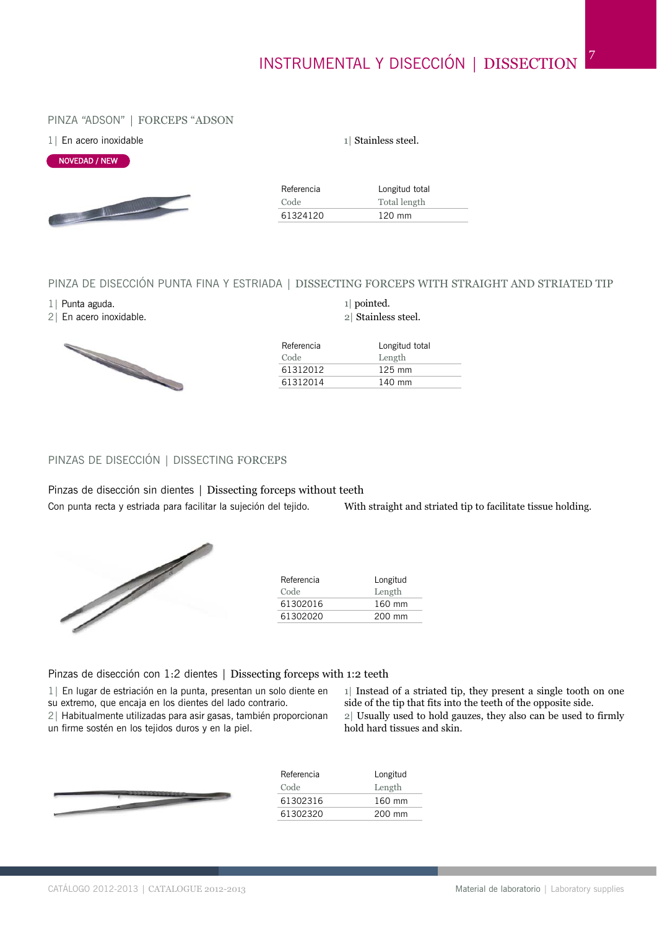#### PINZA "ADSON" | FORCEPS "ADSON

|  | 1   En acero inoxidable |
|--|-------------------------|
|  |                         |



Referencia Longitud total Code Total length 61324120 120 mm

1| Stainless steel.

#### PINZA DE DISECCIÓN PUNTA FINA Y ESTRIADA | DISSECTING FORCEPS WITH STRAIGHT AND STRIATED TIP

1| Punta aguda.

2| En acero inoxidable.



#### 1| pointed. 2| Stainless steel.

| Longitud total |
|----------------|
| Length         |
| $125$ mm       |
| 140 mm         |
|                |

#### PINZAS DE DISECCIÓN | DISSECTING FORCEPS

Pinzas de disección sin dientes | Dissecting forceps without teeth

Con punta recta y estriada para facilitar la sujeción del tejido.

With straight and striated tip to facilitate tissue holding.



| Referencia | Longitud         |
|------------|------------------|
| Code       | Length           |
| 61302016   | $160 \text{ mm}$ |
| 61302020   | 200 mm           |

#### Pinzas de disección con 1:2 dientes | Dissecting forceps with 1:2 teeth

1| En lugar de estriación en la punta, presentan un solo diente en

su extremo, que encaja en los dientes del lado contrario.

2| Habitualmente utilizadas para asir gasas, también proporcionan un firme sostén en los tejidos duros y en la piel.

1| Instead of a striated tip, they present a single tooth on one side of the tip that fits into the teeth of the opposite side. 2| Usually used to hold gauzes, they also can be used to firmly hold hard tissues and skin.



| Referencia | Longitud |
|------------|----------|
| Code       | Length   |
| 61302316   | 160 mm   |
| 61302320   | 200 mm   |
|            |          |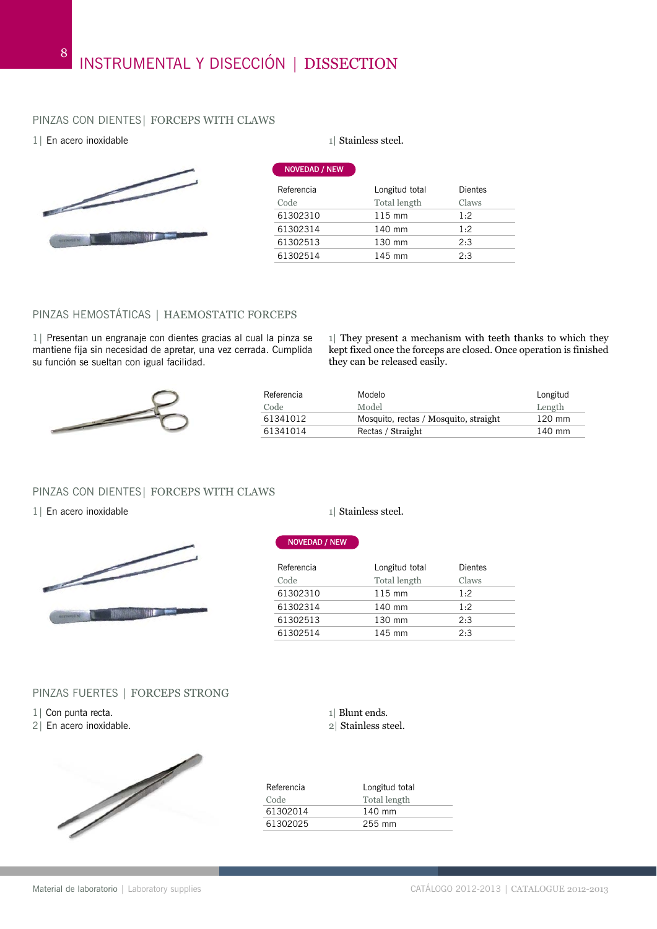# PINZAS CON DIENTES| FORCEPS WITH CLAWS

#### 1| En acero inoxidable 1| Stainless steel.



| <b>NOVEDAD / NEW</b> |                  |                |
|----------------------|------------------|----------------|
| Referencia           | Longitud total   | <b>Dientes</b> |
| Code                 | Total length     | Claws          |
| 61302310             | $115 \text{ mm}$ | 1:2            |
| 61302314             | 140 mm           | 1:2            |
| 61302513             | 130 mm           | 2:3            |
| 61302514             | 145 mm           | 2:3            |
|                      |                  |                |

### PINZAS HEMOSTÁTICAS | HAEMOSTATIC FORCEPS

1| Presentan un engranaje con dientes gracias al cual la pinza se mantiene fija sin necesidad de apretar, una vez cerrada. Cumplida su función se sueltan con igual facilidad.

1| They present a mechanism with teeth thanks to which they kept fixed once the forceps are closed. Once operation is finished they can be released easily.



| Referencia | Modelo                                | Longitud         |
|------------|---------------------------------------|------------------|
| Code       | Model                                 | Length           |
| 61341012   | Mosquito, rectas / Mosquito, straight | $120 \text{ mm}$ |
| 61341014   | Rectas / Straight                     | 140 mm           |

#### PINZAS CON DIENTES| FORCEPS WITH CLAWS

#### 1| En acero inoxidable 1| Stainless steel.



#### PINZAS FUERTES | FORCEPS STRONG

- 1| Con punta recta.
- 2| En acero inoxidable.



#### NOVEDAD / NEW

| Referencia | Longitud total   | Dientes |
|------------|------------------|---------|
| Code       | Total length     | Claws   |
| 61302310   | $115 \text{ mm}$ | 1:2     |
| 61302314   | 140 mm           | 1.2     |
| 61302513   | 130 mm           | 2:3     |
| 61302514   | 145 mm           | 2:3     |
|            |                  |         |

#### 1| Blunt ends. 2| Stainless steel.

| Referencia | Longitud total |
|------------|----------------|
| Code       | Total length   |
| 61302014   | 140 mm         |
| 61302025   | 255 mm         |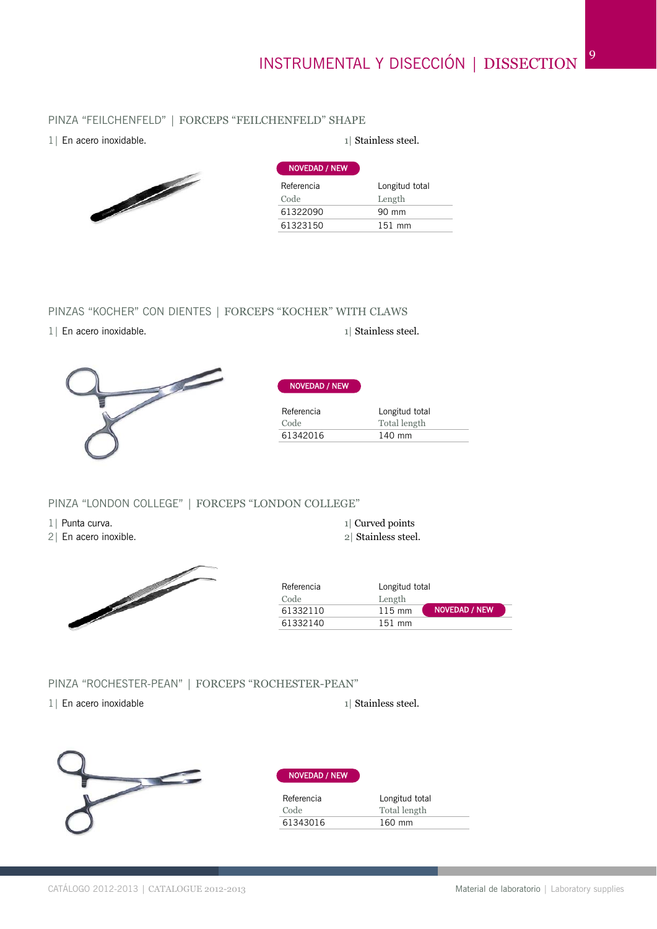# INSTRUMENTAL Y DISECCIÓN | DISSECTION<sup>9</sup>

# PINZA "FEILCHENFELD" | FORCEPS "FEILCHENFELD" SHAPE

1| En acero inoxidable.  $\Box$  1| Stainless steel.



| Longitud total |
|----------------|
| Length         |
| 90 mm          |
| $151$ mm       |
|                |

## PINZAS "KOCHER" CON DIENTES | FORCEPS "KOCHER" WITH CLAWS

1| En acero inoxidable. 1| Stainless steel.



| Referencia | Longitud total |
|------------|----------------|
| Code       | Total length   |
| 61342016   | 140 mm         |

NOVEDAD / NEW

#### PINZA "LONDON COLLEGE" | FORCEPS "LONDON COLLEGE"

1| Punta curva.

2| En acero inoxible.



1| Curved points

2| Stainless steel.

| Referencia | Longitud total   |               |
|------------|------------------|---------------|
| Code       | Length           |               |
| 61332110   | $115 \text{ mm}$ | NOVEDAD / NEW |
| 61332140   | $151$ mm         |               |

#### PINZA "ROCHESTER-PEAN" | FORCEPS "ROCHESTER-PEAN"

1| En acero inoxidable 1| Stainless steel.



#### NOVEDAD / NEW

| Referencia | Longitud total |
|------------|----------------|
| Code       | Total length   |
| 61343016   | 160 mm         |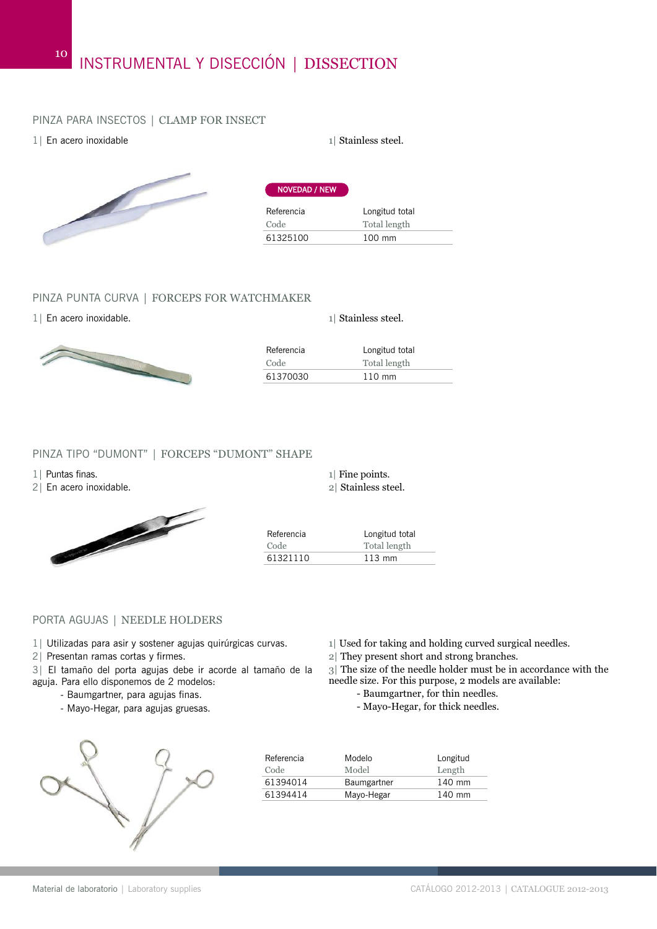#### PINZA PARA INSECTOS | CLAMP FOR INSECT

1| En acero inoxidable 1| Stainless steel.

10



| <b>NOVEDAD / NEW</b> |                  |
|----------------------|------------------|
| Referencia           | Longitud total   |
| Code                 | Total length     |
| 61325100             | $100 \text{ mm}$ |
|                      |                  |

#### PINZA PUNTA CURVA | FORCEPS FOR WATCHMAKER

1| En acero inoxidable. 2022 22:33 and 22:34 and 22:34 and 23:34 and 23:34 and 23:34 and 23:34 and 23:34 and 23:34 and 23:34 and 23:34 and 23:34 and 23:34 and 23:34 and 23:34 and 23:34 and 23:34 and 23:34 and 23:34 and 23:



| Referencia | Longitud total   |
|------------|------------------|
| Code       | Total length     |
| 61370030   | $110 \text{ mm}$ |
|            |                  |

#### PINZA TIPO "DUMONT" | FORCEPS "DUMONT" SHAPE

1| Puntas finas.

2| En acero inoxidable.



| Referencia | Longitud total   |
|------------|------------------|
| Code       | Total length     |
| 61321110   | $113 \text{ mm}$ |

1| Fine points. 2| Stainless steel.

#### PORTA AGUJAS | NEEDLE HOLDERS

- 1| Utilizadas para asir y sostener agujas quirúrgicas curvas.
- 2| Presentan ramas cortas y firmes.
- 3| El tamaño del porta agujas debe ir acorde al tamaño de la aguja. Para ello disponemos de 2 modelos:
	- Baumgartner, para agujas finas.
		- Mayo-Hegar, para agujas gruesas.
- 1| Used for taking and holding curved surgical needles.
- 2| They present short and strong branches.
- 3| The size of the needle holder must be in accordance with the needle size. For this purpose, 2 models are available:
	- Baumgartner, for thin needles.
	- Mayo-Hegar, for thick needles.



| Referencia<br>Code | Modelo<br>Model | Longitud<br>Length |
|--------------------|-----------------|--------------------|
| 61394014           | Baumgartner     | 140 mm             |
| 61394414           | Mayo-Hegar      | 140 mm             |
|                    |                 |                    |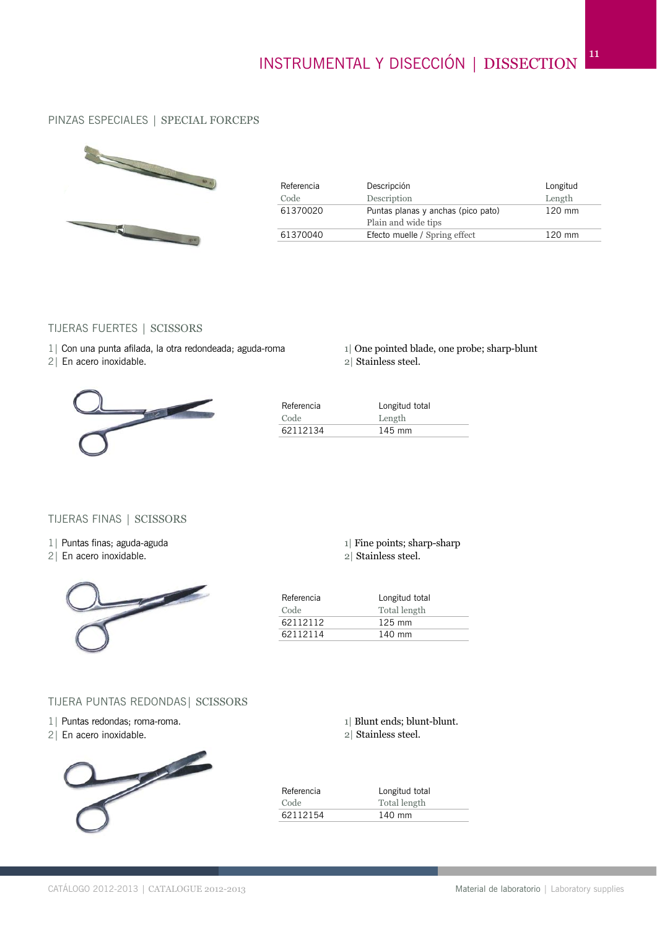11

# PINZAS ESPECIALES | SPECIAL FORCEPS



| Referencia<br>Code | Descripción<br>Description                                | Longitud<br>Length |
|--------------------|-----------------------------------------------------------|--------------------|
| 61370020           | Puntas planas y anchas (pico pato)<br>Plain and wide tips | $120$ mm           |
| 61370040           | Efecto muelle / Spring effect                             | $120 \text{ mm}$   |

#### TIJERAS FUERTES | SCISSORS

- 1| Con una punta afilada, la otra redondeada; aguda-roma
- 2| En acero inoxidable.



2| Stainless steel.



| Referencia | Longitud total   |
|------------|------------------|
| Code       | Length           |
| 62112134   | $145 \text{ mm}$ |

# TIJERAS FINAS | SCISSORS

- 1| Puntas finas; aguda-aguda
- 2| En acero inoxidable.



|  |  | 1 Fine points; sharp-sharp |  |  |  |
|--|--|----------------------------|--|--|--|
|  |  |                            |  |  |  |

2| Stainless steel.

| Referencia | Longitud total   |
|------------|------------------|
| Code       | Total length     |
| 62112112   | $125 \text{ mm}$ |
| 62112114   | 140 mm           |
|            |                  |

#### TIJERA PUNTAS REDONDAS| SCISSORS

- 1| Puntas redondas; roma-roma.
- 2| En acero inoxidable.



| 1 Blunt ends; blunt-blunt. |
|----------------------------|
| 2 Stainless steel.         |

| Referencia | Longitud total |
|------------|----------------|
| Code       | Total length   |
| 62112154   | 140 mm         |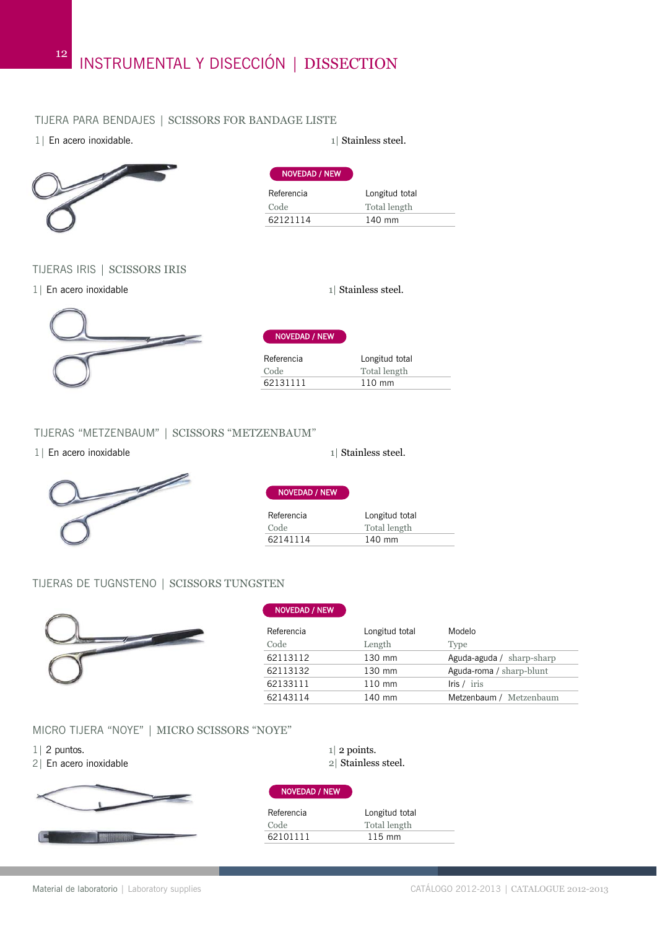#### TIJERA PARA BENDAJES | SCISSORS FOR BANDAGE LISTE

| 1   En acero inoxidable. |                      |
|--------------------------|----------------------|
|                          | <b>NOVEDAD / NEW</b> |

| )\ |  |  |  |
|----|--|--|--|
| и  |  |  |  |
|    |  |  |  |
| Л  |  |  |  |
|    |  |  |  |

#### TIJERAS IRIS | SCISSORS IRIS

1| En acero inoxidable 1| Stainless steel.

12



NOVEDAD / NEW

| Referencia | Longitud total   |
|------------|------------------|
| Code       | Total length     |
| 62131111   | $110 \text{ mm}$ |

#### TIJERAS "METZENBAUM" | SCISSORS "METZENBAUM"

1| En acero inoxidable 1| Stainless steel.



Referencia Longitud total NOVEDAD / NEW

| Code     | Total length |  |
|----------|--------------|--|
| 62141114 | 140 mm       |  |

# TIJERAS DE TUGNSTENO | SCISSORS TUNGSTEN



| Longitud total | Modelo                    |
|----------------|---------------------------|
| Length         | <b>Type</b>               |
| 130 mm         | Aguda-aguda / sharp-sharp |
| 130 mm         | Aguda-roma / sharp-blunt  |
| 110 mm         | lris / iris               |
| 140 mm         | Metzenbaum / Metzenbaum   |
|                |                           |

# MICRO TIJERA "NOYE" | MICRO SCISSORS "NOYE"

- 1| 2 puntos.
- 2| En acero inoxidable



| $1 2$ points.      |
|--------------------|
| 2 Stainless steel. |

#### NOVEDAD / NEW

| Referencia | Longitud total   |
|------------|------------------|
| Code       | Total length     |
| 62101111   | $115 \text{ mm}$ |



 $1$ | Stainless steel.

Referencia Longitud total Code Total length 62121114 140 mm